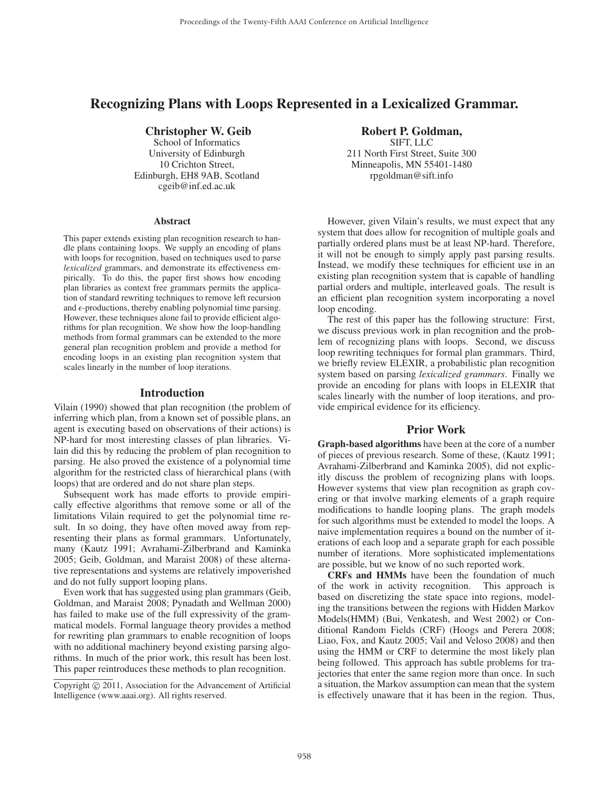## Recognizing Plans with Loops Represented in a Lexicalized Grammar.

## Christopher W. Geib

School of Informatics University of Edinburgh 10 Crichton Street, Edinburgh, EH8 9AB, Scotland cgeib@inf.ed.ac.uk

#### **Abstract**

This paper extends existing plan recognition research to handle plans containing loops. We supply an encoding of plans with loops for recognition, based on techniques used to parse *lexicalized* grammars, and demonstrate its effectiveness empirically. To do this, the paper first shows how encoding plan libraries as context free grammars permits the application of standard rewriting techniques to remove left recursion and  $\epsilon$ -productions, thereby enabling polynomial time parsing. However, these techniques alone fail to provide efficient algorithms for plan recognition. We show how the loop-handling methods from formal grammars can be extended to the more general plan recognition problem and provide a method for encoding loops in an existing plan recognition system that scales linearly in the number of loop iterations.

#### Introduction

Vilain (1990) showed that plan recognition (the problem of inferring which plan, from a known set of possible plans, an agent is executing based on observations of their actions) is NP-hard for most interesting classes of plan libraries. Vilain did this by reducing the problem of plan recognition to parsing. He also proved the existence of a polynomial time algorithm for the restricted class of hierarchical plans (with loops) that are ordered and do not share plan steps.

Subsequent work has made efforts to provide empirically effective algorithms that remove some or all of the limitations Vilain required to get the polynomial time result. In so doing, they have often moved away from representing their plans as formal grammars. Unfortunately, many (Kautz 1991; Avrahami-Zilberbrand and Kaminka 2005; Geib, Goldman, and Maraist 2008) of these alternative representations and systems are relatively impoverished and do not fully support looping plans.

Even work that has suggested using plan grammars (Geib, Goldman, and Maraist 2008; Pynadath and Wellman 2000) has failed to make use of the full expressivity of the grammatical models. Formal language theory provides a method for rewriting plan grammars to enable recognition of loops with no additional machinery beyond existing parsing algorithms. In much of the prior work, this result has been lost. This paper reintroduces these methods to plan recognition.

# Robert P. Goldman,

SIFT, LLC 211 North First Street, Suite 300 Minneapolis, MN 55401-1480 rpgoldman@sift.info

However, given Vilain's results, we must expect that any system that does allow for recognition of multiple goals and partially ordered plans must be at least NP-hard. Therefore, it will not be enough to simply apply past parsing results. Instead, we modify these techniques for efficient use in an existing plan recognition system that is capable of handling partial orders and multiple, interleaved goals. The result is an efficient plan recognition system incorporating a novel loop encoding.

The rest of this paper has the following structure: First, we discuss previous work in plan recognition and the problem of recognizing plans with loops. Second, we discuss loop rewriting techniques for formal plan grammars. Third, we briefly review ELEXIR, a probabilistic plan recognition system based on parsing *lexicalized grammars*. Finally we provide an encoding for plans with loops in ELEXIR that scales linearly with the number of loop iterations, and provide empirical evidence for its efficiency.

## Prior Work

Graph-based algorithms have been at the core of a number of pieces of previous research. Some of these, (Kautz 1991; Avrahami-Zilberbrand and Kaminka 2005), did not explicitly discuss the problem of recognizing plans with loops. However systems that view plan recognition as graph covering or that involve marking elements of a graph require modifications to handle looping plans. The graph models for such algorithms must be extended to model the loops. A naive implementation requires a bound on the number of iterations of each loop and a separate graph for each possible number of iterations. More sophisticated implementations are possible, but we know of no such reported work.

CRFs and HMMs have been the foundation of much of the work in activity recognition. This approach is based on discretizing the state space into regions, modeling the transitions between the regions with Hidden Markov Models(HMM) (Bui, Venkatesh, and West 2002) or Conditional Random Fields (CRF) (Hoogs and Perera 2008; Liao, Fox, and Kautz 2005; Vail and Veloso 2008) and then using the HMM or CRF to determine the most likely plan being followed. This approach has subtle problems for trajectories that enter the same region more than once. In such a situation, the Markov assumption can mean that the system is effectively unaware that it has been in the region. Thus,

Copyright  $\odot$  2011, Association for the Advancement of Artificial Intelligence (www.aaai.org). All rights reserved.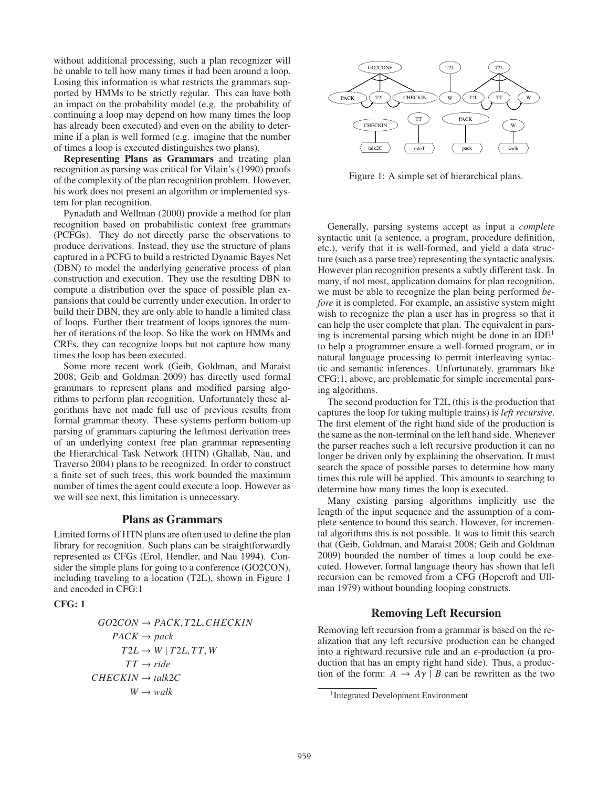without additional processing, such a plan recognizer will be unable to tell how many times it had been around a loop. Losing this information is what restricts the grammars supported by HMMs to be strictly regular. This can have both an impact on the probability model (e.g. the probability of continuing a loop may depend on how many times the loop has already been executed) and even on the ability to determine if a plan is well formed (e.g. imagine that the number of times a loop is executed distinguishes two plans).

Representing Plans as Grammars and treating plan recognition as parsing was critical for Vilain's (1990) proofs of the complexity of the plan recognition problem. However, his work does not present an algorithm or implemented system for plan recognition.

Pynadath and Wellman (2000) provide a method for plan recognition based on probabilistic context free grammars (PCFGs). They do not directly parse the observations to produce derivations. Instead, they use the structure of plans captured in a PCFG to build a restricted Dynamic Bayes Net (DBN) to model the underlying generative process of plan construction and execution. They use the resulting DBN to compute a distribution over the space of possible plan expansions that could be currently under execution. In order to build their DBN, they are only able to handle a limited class of loops. Further their treatment of loops ignores the number of iterations of the loop. So like the work on HMMs and CRFs, they can recognize loops but not capture how many times the loop has been executed.

Some more recent work (Geib, Goldman, and Maraist 2008; Geib and Goldman 2009) has directly used formal grammars to represent plans and modified parsing algorithms to perform plan recognition. Unfortunately these algorithms have not made full use of previous results from formal grammar theory. These systems perform bottom-up parsing of grammars capturing the leftmost derivation trees of an underlying context free plan grammar representing the Hierarchical Task Network (HTN) (Ghallab, Nau, and Traverso 2004) plans to be recognized. In order to construct a finite set of such trees, this work bounded the maximum number of times the agent could execute a loop. However as we will see next, this limitation is unnecessary.

## Plans as Grammars

Limited forms of HTN plans are often used to define the plan library for recognition. Such plans can be straightforwardly represented as CFGs (Erol, Hendler, and Nau 1994). Consider the simple plans for going to a conference (GO2CON), including traveling to a location (T2L), shown in Figure 1 and encoded in CFG:1

## CFG: 1

$$
GO2CON \rightarrow PACK, T2L, CHECKIN
$$
  
\n
$$
PACK \rightarrow pack
$$
  
\n
$$
T2L \rightarrow W | T2L, TT, W
$$
  
\n
$$
TT \rightarrow ride
$$
  
\n
$$
CHECKIN \rightarrow talk2C
$$
  
\n
$$
W \rightarrow walk
$$



Figure 1: A simple set of hierarchical plans.

Generally, parsing systems accept as input a *complete* syntactic unit (a sentence, a program, procedure definition, etc.), verify that it is well-formed, and yield a data structure (such as a parse tree) representing the syntactic analysis. However plan recognition presents a subtly different task. In many, if not most, application domains for plan recognition, we must be able to recognize the plan being performed *before* it is completed. For example, an assistive system might wish to recognize the plan a user has in progress so that it can help the user complete that plan. The equivalent in parsing is incremental parsing which might be done in an  $IDE<sup>1</sup>$ to help a programmer ensure a well-formed program, or in natural language processing to permit interleaving syntactic and semantic inferences. Unfortunately, grammars like CFG:1, above, are problematic for simple incremental parsing algorithms.

The second production for T2L (this is the production that captures the loop for taking multiple trains) is *left recursive*. The first element of the right hand side of the production is the same as the non-terminal on the left hand side. Whenever the parser reaches such a left recursive production it can no longer be driven only by explaining the observation. It must search the space of possible parses to determine how many times this rule will be applied. This amounts to searching to determine how many times the loop is executed.

Many existing parsing algorithms implicitly use the length of the input sequence and the assumption of a complete sentence to bound this search. However, for incremental algorithms this is not possible. It was to limit this search that (Geib, Goldman, and Maraist 2008; Geib and Goldman 2009) bounded the number of times a loop could be executed. However, formal language theory has shown that left recursion can be removed from a CFG (Hopcroft and Ullman 1979) without bounding looping constructs.

## Removing Left Recursion

Removing left recursion from a grammar is based on the realization that any left recursive production can be changed into a rightward recursive rule and an  $\epsilon$ -production (a production that has an empty right hand side). Thus, a production of the form:  $A \rightarrow A\gamma \mid B$  can be rewritten as the two

<sup>1</sup>Integrated Development Environment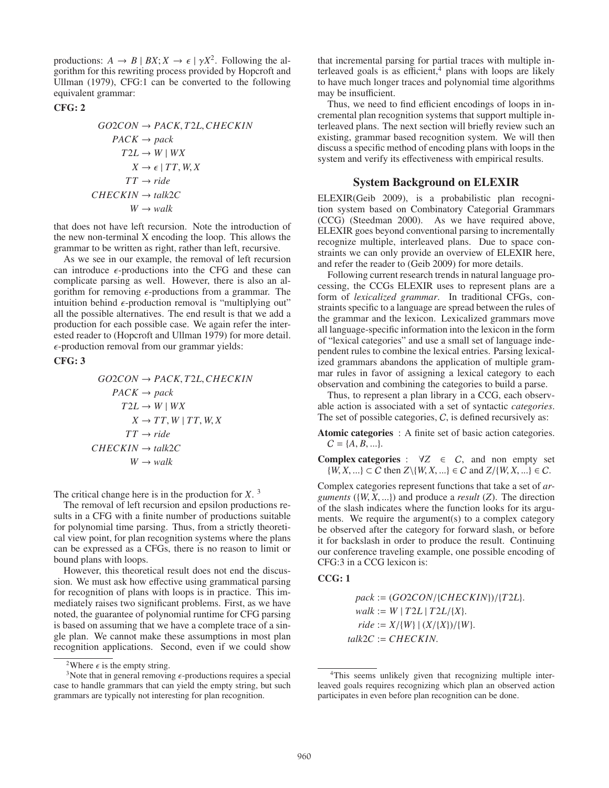productions:  $A \rightarrow B \mid BX; X \rightarrow \epsilon \mid \gamma X^2$ . Following the algorithm for this rewriting process provided by Hopcroft and Ullman (1979), CFG:1 can be converted to the following equivalent grammar:

#### CFG: 2

$$
GO2CON \rightarrow PACK, T2L, CHECKIN
$$
  
\n
$$
PACK \rightarrow pack
$$
  
\n
$$
T2L \rightarrow W |WX
$$
  
\n
$$
X \rightarrow \epsilon | TT, W, X
$$
  
\n
$$
TT \rightarrow ride
$$
  
\n
$$
CHECKIN \rightarrow talk2C
$$
  
\n
$$
W \rightarrow walk
$$

that does not have left recursion. Note the introduction of the new non-terminal X encoding the loop. This allows the grammar to be written as right, rather than left, recursive.

As we see in our example, the removal of left recursion can introduce  $\epsilon$ -productions into the CFG and these can complicate parsing as well. However, there is also an algorithm for removing  $\epsilon$ -productions from a grammar. The intuition behind  $\epsilon$ -production removal is "multiplying out" all the possible alternatives. The end result is that we add a production for each possible case. We again refer the interested reader to (Hopcroft and Ullman 1979) for more detail.  $\epsilon$ -production removal from our grammar yields:

## CFG: 3

$$
GO2CON \rightarrow PACK, T2L, CHECKIN\n
$$
\n
$$
PACK \rightarrow pack\n
$$
\n
$$
T2L \rightarrow W \mid WX\n
$$
\n
$$
X \rightarrow TT, W \mid TT, W, X\n
$$
\n
$$
TT \rightarrow ride\n
$$
\n
$$
CHECKIN \rightarrow talk2C\n
$$
\n
$$
W \rightarrow walk
$$

The critical change here is in the production for *X*. <sup>3</sup>

The removal of left recursion and epsilon productions results in a CFG with a finite number of productions suitable for polynomial time parsing. Thus, from a strictly theoretical view point, for plan recognition systems where the plans can be expressed as a CFGs, there is no reason to limit or bound plans with loops.

However, this theoretical result does not end the discussion. We must ask how effective using grammatical parsing for recognition of plans with loops is in practice. This immediately raises two significant problems. First, as we have noted, the guarantee of polynomial runtime for CFG parsing is based on assuming that we have a complete trace of a single plan. We cannot make these assumptions in most plan recognition applications. Second, even if we could show

that incremental parsing for partial traces with multiple interleaved goals is as efficient, $4$  plans with loops are likely to have much longer traces and polynomial time algorithms may be insufficient.

Thus, we need to find efficient encodings of loops in incremental plan recognition systems that support multiple interleaved plans. The next section will briefly review such an existing, grammar based recognition system. We will then discuss a specific method of encoding plans with loops in the system and verify its effectiveness with empirical results.

## System Background on ELEXIR

ELEXIR(Geib 2009), is a probabilistic plan recognition system based on Combinatory Categorial Grammars (CCG) (Steedman 2000). As we have required above, ELEXIR goes beyond conventional parsing to incrementally recognize multiple, interleaved plans. Due to space constraints we can only provide an overview of ELEXIR here, and refer the reader to (Geib 2009) for more details.

Following current research trends in natural language processing, the CCGs ELEXIR uses to represent plans are a form of *lexicalized grammar*. In traditional CFGs, constraints specific to a language are spread between the rules of the grammar and the lexicon. Lexicalized grammars move all language-specific information into the lexicon in the form of "lexical categories" and use a small set of language independent rules to combine the lexical entries. Parsing lexicalized grammars abandons the application of multiple grammar rules in favor of assigning a lexical category to each observation and combining the categories to build a parse.

Thus, to represent a plan library in a CCG, each observable action is associated with a set of syntactic *categories*. The set of possible categories, C, is defined recursively as:

Atomic categories : A finite set of basic action categories.  $C = \{A, B, ...\}.$ 

**Complex categories** :  $\forall Z \in C$ , and non empty set  ${W, X, ...} ⊂ C$  then  $Z\{W, X, ...} ∈ C$  and  $Z/{W, X, ...} ∈ C$ .

Complex categories represent functions that take a set of *arguments* ( $\{W, X, ...\}$ ) and produce a *result* (*Z*). The direction of the slash indicates where the function looks for its arguments. We require the argument(s) to a complex category be observed after the category for forward slash, or before it for backslash in order to produce the result. Continuing our conference traveling example, one possible encoding of CFG:3 in a CCG lexicon is:

## CCG: 1

*pack* := (*GO*2*CON*/{*CHECKIN*})/{*T*2*L*}.  $walk := W | T2L | T2L/{X}.$  $ride := X/{W} | (X/{X})/{W}.$ *talk*2*C* := *CHECKIN*.

<sup>&</sup>lt;sup>2</sup>Where  $\epsilon$  is the empty string.

<sup>&</sup>lt;sup>3</sup>Note that in general removing  $\epsilon$ -productions requires a special case to handle grammars that can yield the empty string, but such grammars are typically not interesting for plan recognition.

<sup>4</sup>This seems unlikely given that recognizing multiple interleaved goals requires recognizing which plan an observed action participates in even before plan recognition can be done.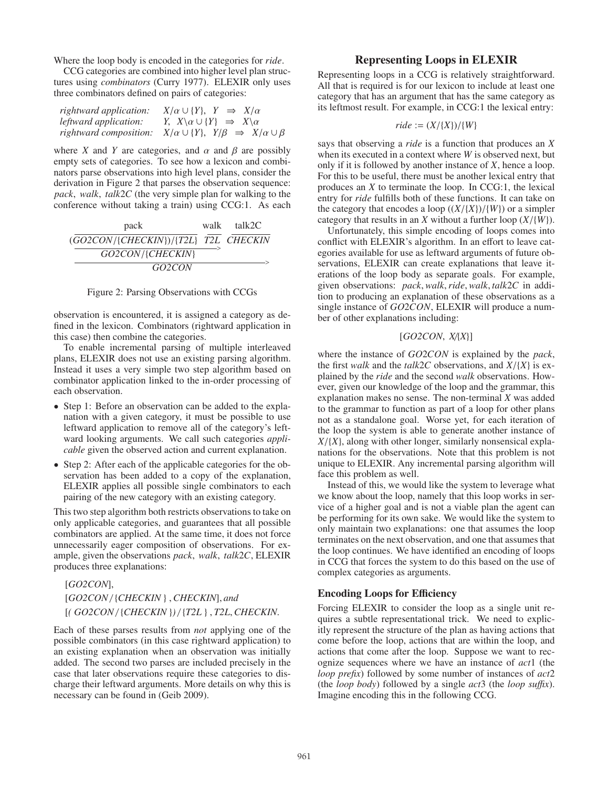Where the loop body is encoded in the categories for *ride*.

CCG categories are combined into higher level plan structures using *combinators* (Curry 1977). ELEXIR only uses three combinators defined on pairs of categories:

| rightward application: | $X/\alpha \cup \{Y\}, Y \Rightarrow X/\alpha$                     |
|------------------------|-------------------------------------------------------------------|
| leftward application:  | Y, $X \setminus \alpha \cup \{Y\} \Rightarrow X \setminus \alpha$ |
| rightward composition: | $X/\alpha \cup \{Y\}, Y/\beta \Rightarrow X/\alpha \cup \beta$    |

where *X* and *Y* are categories, and  $\alpha$  and  $\beta$  are possibly empty sets of categories. To see how a lexicon and combinators parse observations into high level plans, consider the derivation in Figure 2 that parses the observation sequence: *pack*, *walk*, *talk*2*C* (the very simple plan for walking to the conference without taking a train) using CCG:1. As each

| pack                                 | walk talk2C |
|--------------------------------------|-------------|
| (GO2CON/{CHECKIN})/{T2L} T2L CHECKIN |             |
| GO2CON/{CHECKIN}                     |             |
| GO <sub>2</sub> CON                  |             |

#### Figure 2: Parsing Observations with CCGs

observation is encountered, it is assigned a category as defined in the lexicon. Combinators (rightward application in this case) then combine the categories.

To enable incremental parsing of multiple interleaved plans, ELEXIR does not use an existing parsing algorithm. Instead it uses a very simple two step algorithm based on combinator application linked to the in-order processing of each observation.

- Step 1: Before an observation can be added to the explanation with a given category, it must be possible to use leftward application to remove all of the category's leftward looking arguments. We call such categories *applicable* given the observed action and current explanation.
- Step 2: After each of the applicable categories for the observation has been added to a copy of the explanation, ELEXIR applies all possible single combinators to each pairing of the new category with an existing category.

This two step algorithm both restricts observations to take on only applicable categories, and guarantees that all possible combinators are applied. At the same time, it does not force unnecessarily eager composition of observations. For example, given the observations *pack*, *walk*, *talk*2*C*, ELEXIR produces three explanations:

[*GO2CON*], [*GO2CON* / {*CHECKIN* } ,*CHECKIN*], *and* [*( GO2CON* / {*CHECKIN* }*)* / {*T2L* } , *T2L*,*CHECKIN*.

Each of these parses results from *not* applying one of the possible combinators (in this case rightward application) to an existing explanation when an observation was initially added. The second two parses are included precisely in the case that later observations require these categories to discharge their leftward arguments. More details on why this is necessary can be found in (Geib 2009).

## Representing Loops in ELEXIR

Representing loops in a CCG is relatively straightforward. All that is required is for our lexicon to include at least one category that has an argument that has the same category as its leftmost result. For example, in CCG:1 the lexical entry:

$$
ride := (X/\{X\})/\{W\}
$$

says that observing a *ride* is a function that produces an *X* when its executed in a context where *W* is observed next, but only if it is followed by another instance of *X*, hence a loop. For this to be useful, there must be another lexical entry that produces an *X* to terminate the loop. In CCG:1, the lexical entry for *ride* fulfills both of these functions. It can take on the category that encodes a loop  $((X/\{X\})/{W})$  or a simpler category that results in an *X* without a further loop (*X*/{*W*}).

Unfortunately, this simple encoding of loops comes into conflict with ELEXIR's algorithm. In an effort to leave categories available for use as leftward arguments of future observations, ELEXIR can create explanations that leave iterations of the loop body as separate goals. For example, given observations: *pack*,*walk*,*ride*,*walk*, *talk*2*C* in addition to producing an explanation of these observations as a single instance of *GO*2*CON*, ELEXIR will produce a number of other explanations including:

## [*GO2CON*, *X*/{*X*}]

where the instance of *GO*2*CON* is explained by the *pack*, the first *walk* and the *talk*2*C* observations, and *X*/{*X*} is explained by the *ride* and the second *walk* observations. However, given our knowledge of the loop and the grammar, this explanation makes no sense. The non-terminal *X* was added to the grammar to function as part of a loop for other plans not as a standalone goal. Worse yet, for each iteration of the loop the system is able to generate another instance of  $X/\{X\}$ , along with other longer, similarly nonsensical explanations for the observations. Note that this problem is not unique to ELEXIR. Any incremental parsing algorithm will face this problem as well.

Instead of this, we would like the system to leverage what we know about the loop, namely that this loop works in service of a higher goal and is not a viable plan the agent can be performing for its own sake. We would like the system to only maintain two explanations: one that assumes the loop terminates on the next observation, and one that assumes that the loop continues. We have identified an encoding of loops in CCG that forces the system to do this based on the use of complex categories as arguments.

## Encoding Loops for Efficiency

Forcing ELEXIR to consider the loop as a single unit requires a subtle representational trick. We need to explicitly represent the structure of the plan as having actions that come before the loop, actions that are within the loop, and actions that come after the loop. Suppose we want to recognize sequences where we have an instance of *act*1 (the *loop prefix*) followed by some number of instances of *act*2 (the *loop body*) followed by a single *act*3 (the *loop su*ffi*x*). Imagine encoding this in the following CCG.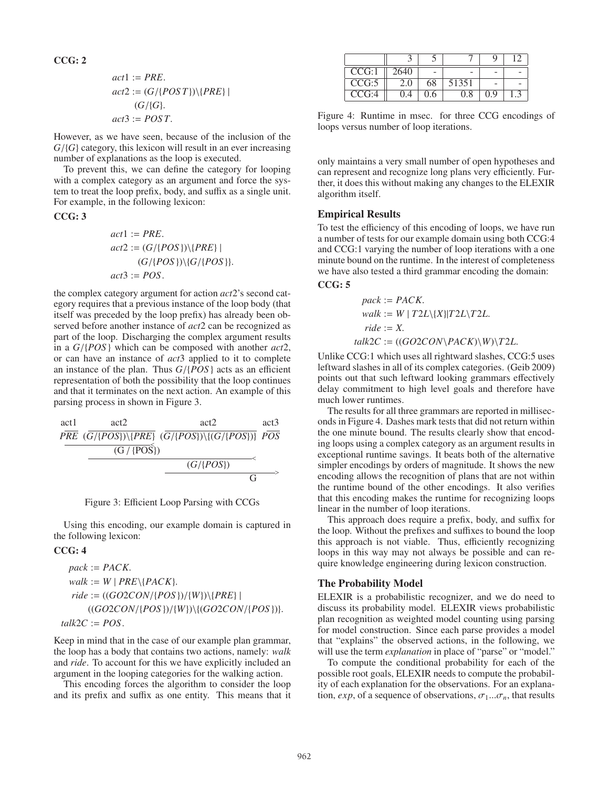## CCG: 2

$$
act1 := PRE.
$$
  
\n
$$
act2 := (G / \{POST\}) \setminus \{PRE\} |
$$
  
\n
$$
(G / \{G\}).
$$
  
\n
$$
act3 := POST.
$$

However, as we have seen, because of the inclusion of the *G*/{*G*} category, this lexicon will result in an ever increasing number of explanations as the loop is executed.

To prevent this, we can define the category for looping with a complex category as an argument and force the system to treat the loop prefix, body, and suffix as a single unit. For example, in the following lexicon:

#### CCG: 3

$$
act1 := PRE.
$$
  
\n
$$
act2 := (G / \{POS\}) \{PRE\} |
$$
  
\n
$$
(G / \{POS\}) \{G / \{POS\} \}.
$$
  
\n
$$
act3 := POS.
$$

the complex category argument for action *act*2's second category requires that a previous instance of the loop body (that itself was preceded by the loop prefix) has already been observed before another instance of *act*2 can be recognized as part of the loop. Discharging the complex argument results in a *G*/{*POS* } which can be composed with another *act*2, or can have an instance of *act*3 applied to it to complete an instance of the plan. Thus *G*/{*POS* } acts as an efficient representation of both the possibility that the loop continues and that it terminates on the next action. An example of this parsing process in shown in Figure 3.



Figure 3: Efficient Loop Parsing with CCGs

Using this encoding, our example domain is captured in the following lexicon:

### CCG: 4

$$
pack := PACK.
$$
  
\n
$$
walk := W | PRE \backslash \{PACK\}.
$$
  
\n
$$
ride := ((GO2CON / \{POS\}) / \{W\}) \backslash \{PRE\} |
$$
  
\n
$$
((GO2CON / \{POS\}) / \{W\}) \backslash \{GO2CON / \{POS\} \})
$$
  
\n
$$
talk2C := POS.
$$

Keep in mind that in the case of our example plan grammar, the loop has a body that contains two actions, namely: *walk* and *ride*. To account for this we have explicitly included an argument in the looping categories for the walking action.

This encoding forces the algorithm to consider the loop and its prefix and suffix as one entity. This means that it

| CCG:1 | 2640 |     |       |     |  |
|-------|------|-----|-------|-----|--|
| CCG:5 | 2.0  | 68  | 51351 |     |  |
| CCG:4 | 0.4  | 0.6 | 0.8   | 0.9 |  |

Figure 4: Runtime in msec. for three CCG encodings of loops versus number of loop iterations.

only maintains a very small number of open hypotheses and can represent and recognize long plans very efficiently. Further, it does this without making any changes to the ELEXIR algorithm itself.

#### Empirical Results

To test the efficiency of this encoding of loops, we have run a number of tests for our example domain using both CCG:4 and CCG:1 varying the number of loop iterations with a one minute bound on the runtime. In the interest of completeness we have also tested a third grammar encoding the domain:

#### CCG: 5

$$
pack := PACK.
$$
  
walk := W | T2L\{X\}|T2L\T2L.  
ride := X.  
talk2C := ((GO2CON\PACK)\W)\T2L.

Unlike CCG:1 which uses all rightward slashes, CCG:5 uses leftward slashes in all of its complex categories. (Geib 2009) points out that such leftward looking grammars effectively delay commitment to high level goals and therefore have much lower runtimes.

The results for all three grammars are reported in milliseconds in Figure 4. Dashes mark tests that did not return within the one minute bound. The results clearly show that encoding loops using a complex category as an argument results in exceptional runtime savings. It beats both of the alternative simpler encodings by orders of magnitude. It shows the new encoding allows the recognition of plans that are not within the runtime bound of the other encodings. It also verifies that this encoding makes the runtime for recognizing loops linear in the number of loop iterations.

This approach does require a prefix, body, and suffix for the loop. Without the prefixes and suffixes to bound the loop this approach is not viable. Thus, efficiently recognizing loops in this way may not always be possible and can require knowledge engineering during lexicon construction.

#### The Probability Model

ELEXIR is a probabilistic recognizer, and we do need to discuss its probability model. ELEXIR views probabilistic plan recognition as weighted model counting using parsing for model construction. Since each parse provides a model that "explains" the observed actions, in the following, we will use the term *explanation* in place of "parse" or "model."

To compute the conditional probability for each of the possible root goals, ELEXIR needs to compute the probability of each explanation for the observations. For an explanation,  $exp$ , of a sequence of observations,  $\sigma_1...\sigma_n$ , that results